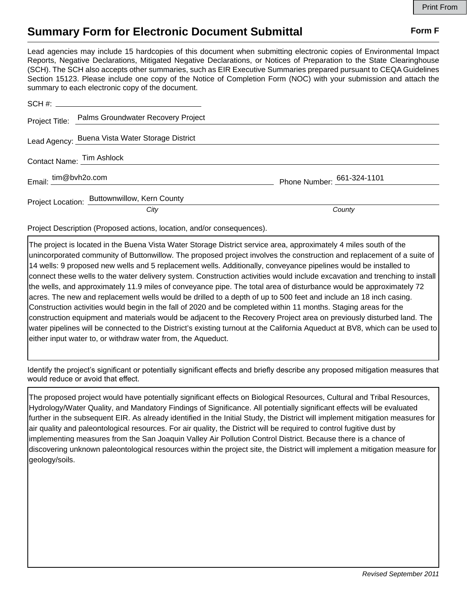## **Summary Form for Electronic Document Submittal Form F Form F**

Lead agencies may include 15 hardcopies of this document when submitting electronic copies of Environmental Impact Reports, Negative Declarations, Mitigated Negative Declarations, or Notices of Preparation to the State Clearinghouse (SCH). The SCH also accepts other summaries, such as EIR Executive Summaries prepared pursuant to CEQA Guidelines Section 15123. Please include one copy of the Notice of Completion Form (NOC) with your submission and attach the summary to each electronic copy of the document.

|                                                                                                                                                                                                                                | Project Title: Palms Groundwater Recovery Project |                              |
|--------------------------------------------------------------------------------------------------------------------------------------------------------------------------------------------------------------------------------|---------------------------------------------------|------------------------------|
|                                                                                                                                                                                                                                | Lead Agency: Buena Vista Water Storage District   |                              |
| Contact Name: Tim Ashlock Name: New York Name: New York Name: New York Name: New York Name: New York Name: New York Name: New York Name: New York Name: New York Name: New York Name: New York Name: New York Name: New York N |                                                   |                              |
| Email: $\frac{\text{tim@bvh2o.com}}{}$                                                                                                                                                                                         |                                                   | Phone Number: $661-324-1101$ |
|                                                                                                                                                                                                                                | Project Location: Buttownwillow, Kern County      |                              |
|                                                                                                                                                                                                                                | City                                              | County                       |

Project Description (Proposed actions, location, and/or consequences).

The project is located in the Buena Vista Water Storage District service area, approximately 4 miles south of the unincorporated community of Buttonwillow. The proposed project involves the construction and replacement of a suite of 14 wells: 9 proposed new wells and 5 replacement wells. Additionally, conveyance pipelines would be installed to connect these wells to the water delivery system. Construction activities would include excavation and trenching to install the wells, and approximately 11.9 miles of conveyance pipe. The total area of disturbance would be approximately 72 acres. The new and replacement wells would be drilled to a depth of up to 500 feet and include an 18 inch casing. Construction activities would begin in the fall of 2020 and be completed within 11 months. Staging areas for the construction equipment and materials would be adjacent to the Recovery Project area on previously disturbed land. The water pipelines will be connected to the District's existing turnout at the California Aqueduct at BV8, which can be used to either input water to, or withdraw water from, the Aqueduct.

Identify the project's significant or potentially significant effects and briefly describe any proposed mitigation measures that would reduce or avoid that effect.

The proposed project would have potentially significant effects on Biological Resources, Cultural and Tribal Resources, Hydrology/Water Quality, and Mandatory Findings of Significance. All potentially significant effects will be evaluated further in the subsequent EIR. As already identified in the Initial Study, the District will implement mitigation measures for air quality and paleontological resources. For air quality, the District will be required to control fugitive dust by implementing measures from the San Joaquin Valley Air Pollution Control District. Because there is a chance of discovering unknown paleontological resources within the project site, the District will implement a mitigation measure for geology/soils.